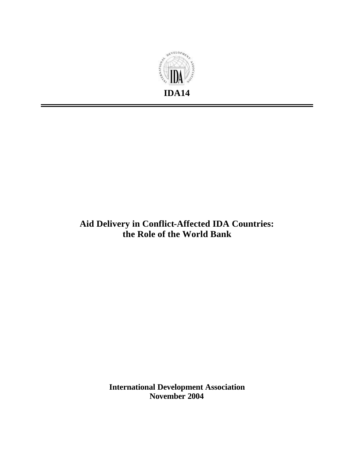

# **Aid Delivery in Conflict-Affected IDA Countries: the Role of the World Bank**

**International Development Association November 2004**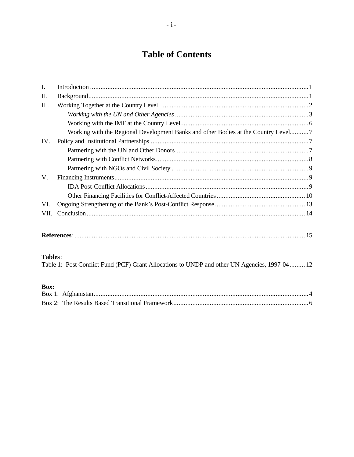# **Table of Contents**

| I.   |                                                                                    |  |
|------|------------------------------------------------------------------------------------|--|
| Π.   |                                                                                    |  |
| Ш.   |                                                                                    |  |
|      |                                                                                    |  |
|      |                                                                                    |  |
|      | Working with the Regional Development Banks and other Bodies at the Country Level7 |  |
| IV.  |                                                                                    |  |
|      |                                                                                    |  |
|      |                                                                                    |  |
|      |                                                                                    |  |
| V.   |                                                                                    |  |
|      |                                                                                    |  |
|      |                                                                                    |  |
| VI.  |                                                                                    |  |
| VII. |                                                                                    |  |
|      |                                                                                    |  |
|      |                                                                                    |  |

## Tables:

| Table 1: Post Conflict Fund (PCF) Grant Allocations to UNDP and other UN Agencies, 1997-04 12 |  |
|-----------------------------------------------------------------------------------------------|--|
|                                                                                               |  |

## Box: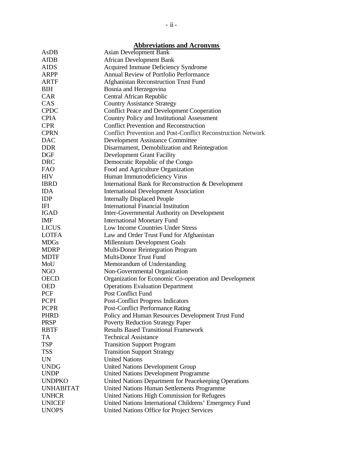|                  | <b>Abbreviations and Acronyms</b>                                   |
|------------------|---------------------------------------------------------------------|
| AsDB             | <b>Asian Development Bank</b>                                       |
| AfDB             | <b>African Development Bank</b>                                     |
| <b>AIDS</b>      | Acquired Immune Deficiency Syndrome                                 |
| ARPP             | Annual Review of Portfolio Performance                              |
| <b>ARTF</b>      | Afghanistan Reconstruction Trust Fund                               |
| BIH              | Bosnia and Herzegovina                                              |
| <b>CAR</b>       | Central African Republic                                            |
| CAS              | <b>Country Assistance Strategy</b>                                  |
| <b>CPDC</b>      | <b>Conflict Peace and Development Cooperation</b>                   |
| <b>CPIA</b>      | <b>Country Policy and Institutional Assessment</b>                  |
| <b>CPR</b>       | <b>Conflict Prevention and Reconstruction</b>                       |
| <b>CPRN</b>      | <b>Conflict Prevention and Post-Conflict Reconstruction Network</b> |
| <b>DAC</b>       | Development Assistance Committee                                    |
| <b>DDR</b>       | Disarmament, Demobilization and Reintegration                       |
| <b>DGF</b>       | <b>Development Grant Facility</b>                                   |
| DRC              | Democratic Republic of the Congo                                    |
| <b>FAO</b>       | Food and Agriculture Organization                                   |
| <b>HIV</b>       | Human Immunodeficiency Virus                                        |
| <b>IBRD</b>      | International Bank for Reconstruction & Development                 |
| <b>IDA</b>       | <b>International Development Association</b>                        |
| <b>IDP</b>       | <b>Internally Displaced People</b>                                  |
| <b>IFI</b>       | <b>International Financial Institution</b>                          |
| <b>IGAD</b>      | Inter-Governmental Authority on Development                         |
| <b>IMF</b>       | <b>International Monetary Fund</b>                                  |
| <b>LICUS</b>     | Low Income Countries Under Stress                                   |
| <b>LOTFA</b>     | Law and Order Trust Fund for Afghanistan                            |
| <b>MDGs</b>      |                                                                     |
| <b>MDRP</b>      | Millennium Development Goals                                        |
| <b>MDTF</b>      | Multi-Donor Reintegration Program<br>Multi-Donor Trust Fund         |
| MoU              |                                                                     |
| <b>NGO</b>       | Memorandum of Understanding                                         |
| <b>OECD</b>      | Non-Governmental Organization                                       |
|                  | Organization for Economic Co-operation and Development              |
| <b>OED</b>       | <b>Operations Evaluation Department</b>                             |
| <b>PCF</b>       | <b>Post Conflict Fund</b>                                           |
| <b>PCPI</b>      | <b>Post-Conflict Progress Indicators</b>                            |
| <b>PCPR</b>      | <b>Post-Conflict Performance Rating</b>                             |
| <b>PHRD</b>      | Policy and Human Resources Development Trust Fund                   |
| <b>PRSP</b>      | <b>Poverty Reduction Strategy Paper</b>                             |
| <b>RBTF</b>      | <b>Results Based Transitional Framework</b>                         |
| <b>TA</b>        | <b>Technical Assistance</b>                                         |
| <b>TSP</b>       | <b>Transition Support Program</b>                                   |
| <b>TSS</b>       | <b>Transition Support Strategy</b>                                  |
| <b>UN</b>        | <b>United Nations</b>                                               |
| <b>UNDG</b>      | United Nations Development Group                                    |
| <b>UNDP</b>      | <b>United Nations Development Programme</b>                         |
| <b>UNDPKO</b>    | United Nations Department for Peacekeeping Operations               |
| <b>UNHABITAT</b> | United Nations Human Settlements Programme                          |
| <b>UNHCR</b>     | United Nations High Commission for Refugees                         |
| <b>UNICEF</b>    | United Nations International Childrens' Emergency Fund              |
| <b>UNOPS</b>     | United Nations Office for Project Services                          |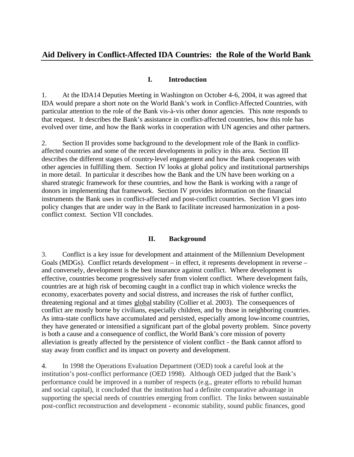## **Aid Delivery in Conflict-Affected IDA Countries: the Role of the World Bank**

#### **I. Introduction**

1. At the IDA14 Deputies Meeting in Washington on October 4-6, 2004, it was agreed that IDA would prepare a short note on the World Bank's work in Conflict-Affected Countries, with particular attention to the role of the Bank vis-à-vis other donor agencies. This note responds to that request. It describes the Bank's assistance in conflict-affected countries, how this role has evolved over time, and how the Bank works in cooperation with UN agencies and other partners.

2. Section II provides some background to the development role of the Bank in conflictaffected countries and some of the recent developments in policy in this area. Section III describes the different stages of country-level engagement and how the Bank cooperates with other agencies in fulfilling them. Section IV looks at global policy and institutional partnerships in more detail. In particular it describes how the Bank and the UN have been working on a shared strategic framework for these countries, and how the Bank is working with a range of donors in implementing that framework. Section IV provides information on the financial instruments the Bank uses in conflict-affected and post-conflict countries. Section VI goes into policy changes that are under way in the Bank to facilitate increased harmonization in a postconflict context. Section VII concludes.

#### **II. Background**

3. Conflict is a key issue for development and attainment of the Millennium Development Goals (MDGs). Conflict retards development – in effect, it represents development in reverse – and conversely, development is the best insurance against conflict. Where development is effective, countries become progressively safer from violent conflict. Where development fails, countries are at high risk of becoming caught in a conflict trap in which violence wrecks the economy, exacerbates poverty and social distress, and increases the risk of further conflict, threatening regional and at times global stability (Collier et al. 2003). The consequences of conflict are mostly borne by civilians, especially children, and by those in neighboring countries. As intra-state conflicts have accumulated and persisted, especially among low-income countries, they have generated or intensified a significant part of the global poverty problem. Since poverty is both a cause and a consequence of conflict, the World Bank's core mission of poverty alleviation is greatly affected by the persistence of violent conflict - the Bank cannot afford to stay away from conflict and its impact on poverty and development.

4. In 1998 the Operations Evaluation Department (OED) took a careful look at the institution's post-conflict performance (OED 1998). Although OED judged that the Bank's performance could be improved in a number of respects (e.g., greater efforts to rebuild human and social capital), it concluded that the institution had a definite comparative advantage in supporting the special needs of countries emerging from conflict. The links between sustainable post-conflict reconstruction and development - economic stability, sound public finances, good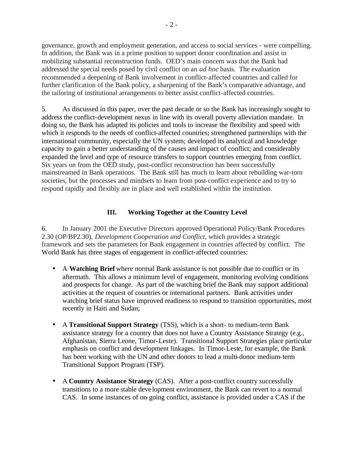governance, growth and employment generation, and access to social services - were compelling. In addition, the Bank was in a prime position to support donor coordination and assist in mobilizing substantial reconstruction funds. OED's main concern was that the Bank had addressed the special needs posed by civil conflict on an *ad hoc* basis. The evaluation recommended a deepening of Bank involvement in conflict-affected countries and called for further clarification of the Bank policy, a sharpening of the Bank's comparative advantage, and the tailoring of institutional arrangements to better assist conflict-affected countries.

5. As discussed in this paper, over the past decade or so the Bank has increasingly sought to address the conflict-development nexus in line with its overall poverty alleviation mandate. In doing so, the Bank has adapted its policies and tools to increase the flexibility and speed with which it responds to the needs of conflict-affected countries; strengthened partnerships with the international community, especially the UN system; developed its analytical and knowledge capacity to gain a better understanding of the causes and impact of conflict; and considerably expanded the level and type of resource transfers to support countries emerging from conflict. Six years on from the OED study, post-conflict reconstruction has been successfully mainstreamed in Bank operations. The Bank still has much to learn about rebuilding war-torn societies, but the processes and mindsets to learn from post-conflict experience and to try to respond rapidly and flexibly are in place and well established within the institution.

## **III. Working Together at the Country Level**

6. In January 2001 the Executive Directors approved Operational Policy/Bank Procedures 2.30 (OP/BP2.30), *Development Cooperation and Conflict,* which provides a strategic framework and sets the parameters for Bank engagement in countries affected by conflict. The World Bank has three stages of engagement in conflict-affected countries:

- A **Watching Brief** where normal Bank assistance is not possible due to conflict or its aftermath. This allows a minimum level of engagement, monitoring evolving conditions and prospects for change. As part of the watching brief the Bank may support additional activities at the request of countries or international partners. Bank activities under watching brief status have improved readiness to respond to transition opportunities, most recently in Haiti and Sudan;
- A **Transitional Support Strategy** (TSS), which is a short- to medium-term Bank assistance strategy for a country that does not have a Country Assistance Strategy (e.g., Afghanistan, Sierra Leone, Timor-Leste). Transitional Support Strategies place particular emphasis on conflict and development linkages. In Timor-Leste, for example, the Bank has been working with the UN and other donors to lead a multi-donor medium-term Transitional Support Program (TSP).
- A **Country Assistance Strategy** (CAS). After a post-conflict country successfully transitions to a more stable deve lopment environment, the Bank can revert to a normal CAS. In some instances of on-going conflict, assistance is provided under a CAS if the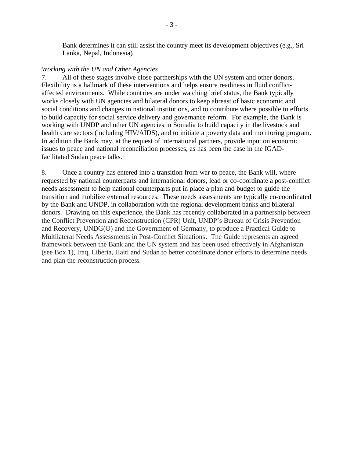Bank determines it can still assist the country meet its development objectives (e.g., Sri Lanka, Nepal, Indonesia).

#### *Working with the UN and Other Agencies*

7. All of these stages involve close partnerships with the UN system and other donors. Flexibility is a hallmark of these interventions and helps ensure readiness in fluid conflictaffected environments. While countries are under watching brief status, the Bank typically works closely with UN agencies and bilateral donors to keep abreast of basic economic and social conditions and changes in national institutions, and to contribute where possible to efforts to build capacity for social service delivery and governance reform. For example, the Bank is working with UNDP and other UN agencies in Somalia to build capacity in the livestock and health care sectors (including HIV/AIDS), and to initiate a poverty data and monitoring program. In addition the Bank may, at the request of international partners, provide input on economic issues to peace and national reconciliation processes, as has been the case in the IGADfacilitated Sudan peace talks.

8. Once a country has entered into a transition from war to peace, the Bank will, where requested by national counterparts and international donors, lead or co-coordinate a post-conflict needs assessment to help national counterparts put in place a plan and budget to guide the transition and mobilize external resources. These needs assessments are typically co-coordinated by the Bank and UNDP, in collaboration with the regional development banks and bilateral donors. Drawing on this experience, the Bank has recently collaborated in a partnership between the Conflict Prevention and Reconstruction (CPR) Unit, UNDP's Bureau of Crisis Prevention and Recovery, UNDG(O) and the Government of Germany, to produce a Practical Guide to Multilateral Needs Assessments in Post-Conflict Situations. The Guide represents an agreed framework between the Bank and the UN system and has been used effectively in Afghanistan (see Box 1), Iraq, Liberia, Haiti and Sudan to better coordinate donor efforts to determine needs and plan the reconstruction process.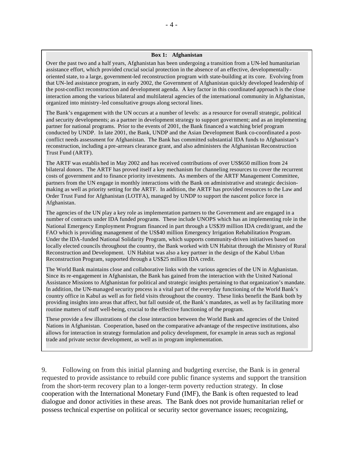#### **Box 1: Afghanistan**

Over the past two and a half years, Afghanistan has been undergoing a transition from a UN-led humanitarian assistance effort, which provided crucial social protection in the absence of an effective, developmentallyoriented state, to a large, government-led reconstruction program with state-building at its core. Evolving from that UN-led assistance program, in early 2002, the Government of Afghanistan quickly developed leadership of the post-conflict reconstruction and development agenda. A key factor in this coordinated approach is the close interaction among the various bilateral and multilateral agencies of the international community in Afghanistan, organized into ministry-led consultative groups along sectoral lines.

The Bank's engagement with the UN occurs at a number of levels: as a resource for overall strategic, political and security developments; as a partner in development strategy to support government; and as an implementing partner for national programs. Prior to the events of 2001, the Bank financed a watching brief program conducted by UNDP. In late 2001, the Bank, UNDP and the Asian Development Bank co-coordinated a postconflict needs assessment for Afghanistan. The Bank has committed substantial IDA funds to Afghanistan's reconstruction, including a pre-arrears clearance grant, and also administers the Afghanistan Reconstruction Trust Fund (ARTF).

The ARTF was establis hed in May 2002 and has received contributions of over US\$650 million from 24 bilateral donors. The ARTF has proved itself a key mechanism for channeling resources to cover the recurrent costs of government and to finance priority investments. As members of the ARTF Management Committee, partners from the UN engage in monthly interactions with the Bank on administrative and strategic decisionmaking as well as priority setting for the ARTF. In addition, the ARTF has provided resources to the Law and Order Trust Fund for Afghanistan (LOTFA), managed by UNDP to support the nascent police force in Afghanistan.

The agencies of the UN play a key role as implementation partners to the Government and are engaged in a number of contracts under IDA funded programs. These include UNOPS which has an implementing role in the National Emergency Employment Program financed in part through a US\$39 million IDA credit/grant, and the FAO which is providing management of the US\$40 million Emergency Irrigation Rehabilitation Program. Under the IDA-funded National Solidarity Program, which supports community-driven initiatives based on locally elected councils throughout the country, the Bank worked with UN Habitat through the Ministry of Rural Reconstruction and Development. UN Habitat was also a key partner in the design of the Kabul Urban Reconstruction Program, supported through a US\$25 million IDA credit.

The World Bank maintains close and collaborative links with the various agencies of the UN in Afghanistan. Since its re-engagement in Afghanistan, the Bank has gained from the interaction with the United National Assistance Missions to Afghanistan for political and strategic insights pertaining to that organization's mandate. In addition, the UN-managed security process is a vital part of the everyday functioning of the World Bank's country office in Kabul as well as for field visits throughout the country. These links benefit the Bank both by providing insights into areas that affect, but fall outside of, the Bank's mandates, as well as by facilitating more routine matters of staff well-being, crucial to the effective functioning of the program.

These provide a few illustrations of the close interaction between the World Bank and agencies of the United Nations in Afghanistan. Cooperation, based on the comparative advantage of the respective institutions, also allows for interaction in strategy formulation and policy development, for example in areas such as regional trade and private sector development, as well as in program implementation.

9. Following on from this initial planning and budgeting exercise, the Bank is in general requested to provide assistance to rebuild core public finance systems and support the transition from the short-term recovery plan to a longer-term poverty reduction strategy. In close cooperation with the International Monetary Fund (IMF), the Bank is often requested to lead dialogue and donor activities in these areas. The Bank does not provide humanitarian relief or possess technical expertise on political or security sector governance issues; recognizing,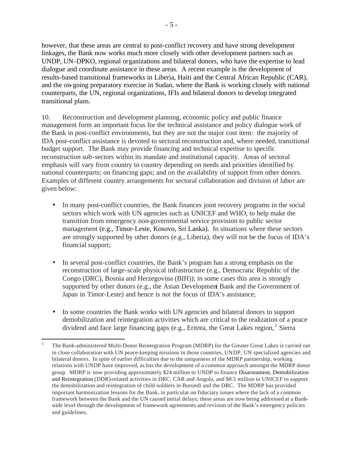however, that these areas are central to post-conflict recovery and have strong development linkages, the Bank now works much more closely with other development partners such as UNDP, UN-DPKO, regional organizations and bilateral donors, who have the expertise to lead dialogue and coordinate assistance in these areas. A recent example is the development of results-based transitional frameworks in Liberia, Haiti and the Central African Republic (CAR), and the on-going preparatory exercise in Sudan, where the Bank is working closely with national counterparts, the UN, regional organizations, IFIs and bilateral donors to develop integrated transitional plans.

10. Reconstruction and development planning, economic policy and public finance management form an important focus for the technical assistance and policy dialogue work of the Bank in post-conflict environments, but they are not the major cost item: the majority of IDA post-conflict assistance is devoted to sectoral reconstruction and, where needed, transitional budget support. The Bank may provide financing and technical expertise to specific reconstruction sub-sectors within its mandate and institutional capacity. Areas of sectoral emphasis will vary from country to country depending on needs and priorities identified by national counterparts; on financing gaps; and on the availability of support from other donors. Examples of different country arrangements for sectoral collaboration and division of labor are given below:

- In many post-conflict countries, the Bank finances joint recovery programs in the social sectors which work with UN agencies such as UNICEF and WHO, to help make the transition from emergency non-governmental service provision to public sector management (e.g., Timor-Leste, Kosovo, Sri Lanka). In situations where these sectors are strongly supported by other donors (e.g., Liberia), they will not be the focus of IDA's financial support;
- In several post-conflict countries, the Bank's program has a strong emphasis on the reconstruction of large-scale physical infrastructure (e.g., Democratic Republic of the Congo (DRC), Bosnia and Herzegovina (BIH)); in some cases this area is strongly supported by other donors (e.g., the Asian Development Bank and the Government of Japan in Timor-Leste) and hence is not the focus of IDA's assistance;
- In some countries the Bank works with UN agencies and bilateral donors to support demobilization and reintegration activities which are critical to the realization of a peace dividend and face large financing gaps (e.g., Eritrea, the Great Lakes region,  $^1$  Sierra

 $\overline{a}$ 1 The Bank-administered Multi-Donor Reintegration Program (MDRP) for the Greater Great Lakes is carried out in close collaboration with UN peace-keeping missions in those countries, UNDP, UN specialized agencies and bilateral donors. In spite of earlier difficulties due to the uniqueness of the MDRP partnership, working relations with UNDP have improved, as has the development of a common approach amongst the MDRP donor group. MDRP is now providing approximately \$24 million to UNDP to finance Disarmament, Demobilization and Reintegration (DDR)-related activities in DRC, CAR and Angola, and \$8.5 million to UNICEF to support the demobilization and reintegration of child-soldiers in Burundi and the DRC. The MDRP has provided important harmonization lessons for the Bank, in particular on fiduciary issues where the lack of a common framework between the Bank and the UN caused initial delays; these areas are now being addressed at a Bankwide level through the development of framework agreements and revision of the Bank's emergency policies and guidelines.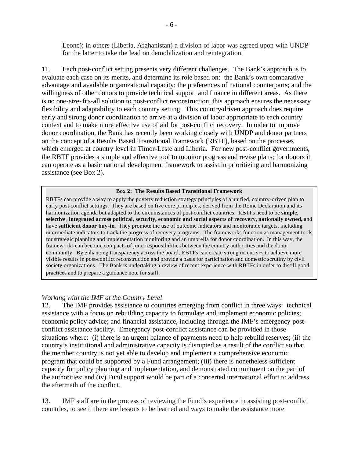Leone); in others (Liberia, Afghanistan) a division of labor was agreed upon with UNDP for the latter to take the lead on demobilization and reintegration.

11. Each post-conflict setting presents very different challenges. The Bank's approach is to evaluate each case on its merits, and determine its role based on: the Bank's own comparative advantage and available organizational capacity; the preferences of national counterparts; and the willingness of other donors to provide technical support and finance in different areas. As there is no one-size-fits-all solution to post-conflict reconstruction, this approach ensures the necessary flexibility and adaptability to each country setting. This country-driven approach does require early and strong donor coordination to arrive at a division of labor appropriate to each country context and to make more effective use of aid for post-conflict recovery. In order to improve donor coordination, the Bank has recently been working closely with UNDP and donor partners on the concept of a Results Based Transitional Framework (RBTF), based on the processes which emerged at country level in Timor-Leste and Liberia. For new post-conflict governments, the RBTF provides a simple and effective tool to monitor progress and revise plans; for donors it can operate as a basic national development framework to assist in prioritizing and harmonizing assistance (see Box 2).

#### **Box 2: The Results Based Transitional Framework**

RBTFs can provide a way to apply the poverty reduction strategy principles of a unified, country-driven plan to early post-conflict settings. They are based on five core principles, derived from the Rome Declaration and its harmonization agenda but adapted to the circumstances of post-conflict countries. RBTFs need to be **simple**, **selective** , **integrated across political, security, economic and social aspects of recovery**, **nationally owned**, and have **sufficient donor buy-in**. They promote the use of outcome indicators and monitorable targets, including intermediate indicators to track the progress of recovery programs. The frameworks function as management tools for strategic planning and implementation monitoring and an umbrella for donor coordination. In this way, the frameworks can become compacts of joint responsibilities between the country authorities and the donor community. By enhancing transparency across the board, RBTFs can create strong incentives to achieve more visible results in post-conflict reconstruction and provide a basis for participation and domestic scrutiny by civil society organizations. The Bank is undertaking a review of recent experience with RBTFs in order to distill good practices and to prepare a guidance note for staff.

#### *Working with the IMF at the Country Level*

12. The IMF provides assistance to countries emerging from conflict in three ways: technical assistance with a focus on rebuilding capacity to formulate and implement economic policies; economic policy advice; and financial assistance, including through the IMF's emergency postconflict assistance facility. Emergency post-conflict assistance can be provided in those situations where: (i) there is an urgent balance of payments need to help rebuild reserves; (ii) the country's institutional and administrative capacity is disrupted as a result of the conflict so that the member country is not yet able to develop and implement a comprehensive economic program that could be supported by a Fund arrangement; (iii) there is nonetheless sufficient capacity for policy planning and implementation, and demonstrated commitment on the part of the authorities; and (iv) Fund support would be part of a concerted international effort to address the aftermath of the conflict.

13. IMF staff are in the process of reviewing the Fund's experience in assisting post-conflict countries, to see if there are lessons to be learned and ways to make the assistance more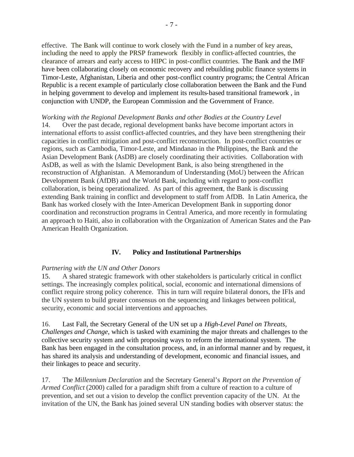effective. The Bank will continue to work closely with the Fund in a number of key areas, including the need to apply the PRSP framework flexibly in conflict-affected countries, the clearance of arrears and early access to HIPC in post-conflict countries. The Bank and the IMF have been collaborating closely on economic recovery and rebuilding public finance systems in Timor-Leste, Afghanistan, Liberia and other post-conflict country programs; the Central African Republic is a recent example of particularly close collaboration between the Bank and the Fund in helping government to develop and implement its results-based transitional framework , in conjunction with UNDP, the European Commission and the Government of France.

*Working with the Regional Development Banks and other Bodies at the Country Level* 14. Over the past decade, regional development banks have become important actors in international efforts to assist conflict-affected countries, and they have been strengthening their capacities in conflict mitigation and post-conflict reconstruction. In post-conflict countries or regions, such as Cambodia, Timor-Leste, and Mindanao in the Philippines, the Bank and the Asian Development Bank (AsDB) are closely coordinating their activities. Collaboration with AsDB, as well as with the Islamic Development Bank, is also being strengthened in the reconstruction of Afghanistan. A Memorandum of Understanding (MoU) between the African Development Bank (AfDB) and the World Bank, including with regard to post-conflict collaboration, is being operationalized. As part of this agreement, the Bank is discussing extending Bank training in conflict and development to staff from AfDB. In Latin America, the Bank has worked closely with the Inter-American Development Bank in supporting donor coordination and reconstruction programs in Central America, and more recently in formulating an approach to Haiti, also in collaboration with the Organization of American States and the Pan-American Health Organization.

## **IV. Policy and Institutional Partnerships**

## *Partnering with the UN and Other Donors*

15. A shared strategic framework with other stakeholders is particularly critical in conflict settings. The increasingly complex political, social, economic and international dimensions of conflict require strong policy coherence. This in turn will require bilateral donors, the IFIs and the UN system to build greater consensus on the sequencing and linkages between political, security, economic and social interventions and approaches.

16. Last Fall, the Secretary General of the UN set up a *High-Level Panel on Threats, Challenges and Change*, which is tasked with examining the major threats and challenges to the collective security system and with proposing ways to reform the international system. The Bank has been engaged in the consultation process, and, in an informal manner and by request, it has shared its analysis and understanding of development, economic and financial issues, and their linkages to peace and security.

17. The *Millennium Declaration* and the Secretary General's *Report on the Prevention of Armed Conflict* (2000) called for a paradigm shift from a culture of reaction to a culture of prevention, and set out a vision to develop the conflict prevention capacity of the UN. At the invitation of the UN, the Bank has joined several UN standing bodies with observer status: the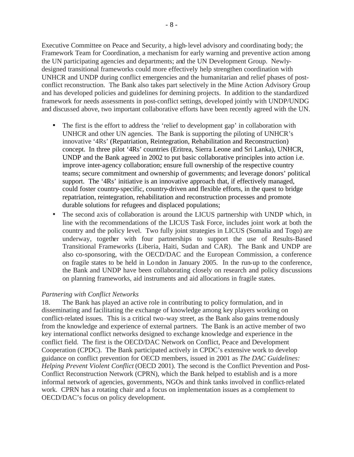Executive Committee on Peace and Security, a high-level advisory and coordinating body; the Framework Team for Coordination, a mechanism for early warning and preventive action among the UN participating agencies and departments; and the UN Development Group. Newlydesigned transitional frameworks could more effectively help strengthen coordination with UNHCR and UNDP during conflict emergencies and the humanitarian and relief phases of postconflict reconstruction. The Bank also takes part selectively in the Mine Action Advisory Group and has developed policies and guidelines for demining projects. In addition to the standardized framework for needs assessments in post-conflict settings, developed jointly with UNDP/UNDG and discussed above, two important collaborative efforts have been recently agreed with the UN.

- The first is the effort to address the 'relief to development gap' in collaboration with UNHCR and other UN agencies. The Bank is supporting the piloting of UNHCR's innovative '4Rs' (Repatriation, Reintegration, Rehabilitation and Reconstruction) concept. In three pilot '4Rs' countries (Eritrea, Sierra Leone and Sri Lanka), UNHCR, UNDP and the Bank agreed in 2002 to put basic collaborative principles into action i.e. improve inter-agency collaboration; ensure full ownership of the respective country teams; secure commitment and ownership of governments; and leverage donors' political support. The '4Rs' initiative is an innovative approach that, if effectively managed, could foster country-specific, country-driven and flexible efforts, in the quest to bridge repatriation, reintegration, rehabilitation and reconstruction processes and promote durable solutions for refugees and displaced populations;
- The second axis of collaboration is around the LICUS partnership with UNDP which, in line with the recommendations of the LICUS Task Force, includes joint work at both the country and the policy level. Two fully joint strategies in LICUS (Somalia and Togo) are underway, together with four partnerships to support the use of Results-Based Transitional Frameworks (Liberia, Haiti, Sudan and CAR). The Bank and UNDP are also co-sponsoring, with the OECD/DAC and the European Commission, a conference on fragile states to be held in London in January 2005. In the run-up to the conference, the Bank and UNDP have been collaborating closely on research and policy discussions on planning frameworks, aid instruments and aid allocations in fragile states.

### *Partnering with Conflict Networks*

18. The Bank has played an active role in contributing to policy formulation, and in disseminating and facilitating the exchange of knowledge among key players working on conflict-related issues. This is a critical two-way street, as the Bank also gains tremendously from the knowledge and experience of external partners. The Bank is an active member of two key international conflict networks designed to exchange knowledge and experience in the conflict field. The first is the OECD/DAC Network on Conflict, Peace and Development Cooperation (CPDC). The Bank participated actively in CPDC's extensive work to develop guidance on conflict prevention for OECD members, issued in 2001 as *The DAC Guidelines: Helping Prevent Violent Conflict* (OECD 2001). The second is the Conflict Prevention and Post-Conflict Reconstruction Network (CPRN), which the Bank helped to establish and is a more informal network of agencies, governments, NGOs and think tanks involved in conflict-related work. CPRN has a rotating chair and a focus on implementation issues as a complement to OECD/DAC's focus on policy development.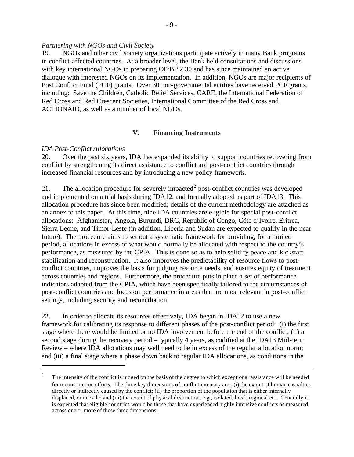#### *Partnering with NGOs and Civil Society*

19. NGOs and other civil society organizations participate actively in many Bank programs in conflict-affected countries. At a broader level, the Bank held consultations and discussions with key international NGOs in preparing OP/BP 2.30 and has since maintained an active dialogue with interested NGOs on its implementation. In addition, NGOs are major recipients of Post Conflict Fund (PCF) grants. Over 30 non-governmental entities have received PCF grants, including: Save the Children, Catholic Relief Services, CARE, the International Federation of Red Cross and Red Crescent Societies, International Committee of the Red Cross and ACTIONAID, as well as a number of local NGOs.

#### **V. Financing Instruments**

#### *IDA Post-Conflict Allocations*

 $\overline{a}$ 

20. Over the past six years, IDA has expanded its ability to support countries recovering from conflict by strengthening its direct assistance to conflict and post-conflict countries through increased financial resources and by introducing a new policy framework.

21. The allocation procedure for severely impacted<sup>2</sup> post-conflict countries was developed and implemented on a trial basis during IDA12, and formally adopted as part of IDA13. This allocation procedure has since been modified; details of the current methodology are attached as an annex to this paper. At this time, nine IDA countries are eligible for special post-conflict allocations: Afghanistan, Angola, Burundi, DRC, Republic of Congo, Côte d'Ivoire, Eritrea, Sierra Leone, and Timor-Leste (in addition, Liberia and Sudan are expected to qualify in the near future). The procedure aims to set out a systematic framework for providing, for a limited period, allocations in excess of what would normally be allocated with respect to the country's performance, as measured by the CPIA. This is done so as to help solidify peace and kickstart stabilization and reconstruction. It also improves the predictability of resource flows to postconflict countries, improves the basis for judging resource needs, and ensures equity of treatment across countries and regions. Furthermore, the procedure puts in place a set of performance indicators adapted from the CPIA, which have been specifically tailored to the circumstances of post-conflict countries and focus on performance in areas that are most relevant in post-conflict settings, including security and reconciliation.

22. In order to allocate its resources effectively, IDA began in IDA12 to use a new framework for calibrating its response to different phases of the post-conflict period: (i) the first stage where there would be limited or no IDA involvement before the end of the conflict; (ii) a second stage during the recovery period – typically 4 years, as codified at the IDA13 Mid-term Review – where IDA allocations may well need to be in excess of the regular allocation norm; and (iii) a final stage where a phase down back to regular IDA allocations, as conditions in the

<sup>2</sup> The intensity of the conflict is judged on the basis of the degree to which exceptional assistance will be needed for reconstruction efforts. The three key dimensions of conflict intensity are: (i) the extent of human casualties directly or indirectly caused by the conflict; (ii) the proportion of the population that is either internally displaced, or in exile; and (iii) the extent of physical destruction, e.g., isolated, local, regional etc. Generally it is expected that eligible countries would be those that have experienced highly intensive conflicts as measured across one or more of these three dimensions.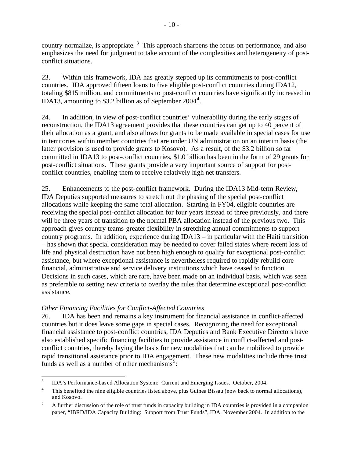country normalize, is appropriate.<sup>3</sup> This approach sharpens the focus on performance, and also emphasizes the need for judgment to take account of the complexities and heterogeneity of postconflict situations.

23. Within this framework, IDA has greatly stepped up its commitments to post-conflict countries. IDA approved fifteen loans to five eligible post-conflict countries during IDA12, totaling \$815 million, and commitments to post-conflict countries have significantly increased in IDA13, amounting to \$3.2 billion as of September  $2004<sup>4</sup>$ .

24. In addition, in view of post-conflict countries' vulnerability during the early stages of reconstruction, the IDA13 agreement provides that these countries can get up to 40 percent of their allocation as a grant, and also allows for grants to be made available in special cases for use in territories within member countries that are under UN administration on an interim basis (the latter provision is used to provide grants to Kosovo). As a result, of the \$3.2 billion so far committed in IDA13 to post-conflict countries, \$1.0 billion has been in the form of 29 grants for post-conflict situations. These grants provide a very important source of support for postconflict countries, enabling them to receive relatively high net transfers.

25. Enhancements to the post-conflict framework.During the IDA13 Mid-term Review, IDA Deputies supported measures to stretch out the phasing of the special post-conflict allocations while keeping the same total allocation. Starting in FY04, eligible countries are receiving the special post-conflict allocation for four years instead of three previously, and there will be three years of transition to the normal PBA allocation instead of the previous two. This approach gives country teams greater flexibility in stretching annual commitments to support country programs. In addition, experience during IDA13 – in particular with the Haiti transition – has shown that special consideration may be needed to cover failed states where recent loss of life and physical destruction have not been high enough to qualify for exceptional post-conflict assistance, but where exceptional assistance is nevertheless required to rapidly rebuild core financial, administrative and service delivery institutions which have ceased to function. Decisions in such cases, which are rare, have been made on an individual basis, which was seen as preferable to setting new criteria to overlay the rules that determine exceptional post-conflict assistance.

## *Other Financing Facilities for Conflict-Affected Countries*

26. IDA has been and remains a key instrument for financial assistance in conflict-affected countries but it does leave some gaps in special cases. Recognizing the need for exceptional financial assistance to post-conflict countries, IDA Deputies and Bank Executive Directors have also established specific financing facilities to provide assistance in conflict-affected and postconflict countries, thereby laying the basis for new modalities that can be mobilized to provide rapid transitional assistance prior to IDA engagement. These new modalities include three trust funds as well as a number of other mechanisms<sup>5</sup>:

 $\frac{1}{3}$ IDA's Performance-based Allocation System: Current and Emerging Issues. October, 2004.

<sup>4</sup> This benefited the nine eligible countries listed above, plus Guinea Bissau (now back to normal allocations), and Kosovo.

<sup>&</sup>lt;sup>5</sup> A further discussion of the role of trust funds in capacity building in IDA countries is provided in a companion paper, "IBRD/IDA Capacity Building: Support from Trust Funds", IDA, November 2004. In addition to the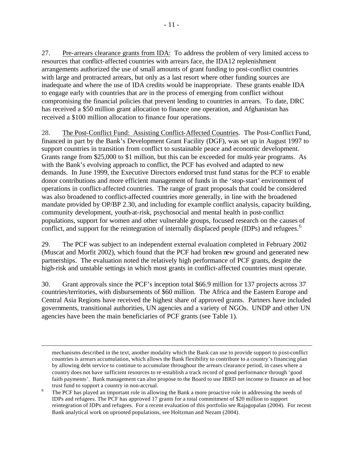27. Pre-arrears clearance grants from IDA: To address the problem of very limited access to resources that conflict-affected countries with arrears face, the IDA12 replenishment arrangements authorized the use of small amounts of grant funding to post-conflict countries with large and protracted arrears, but only as a last resort where other funding sources are inadequate and where the use of IDA credits would be inappropriate. These grants enable IDA to engage early with countries that are in the process of emerging from conflict without compromising the financial policies that prevent lending to countries in arrears. To date, DRC has received a \$50 million grant allocation to finance one operation, and Afghanistan has received a \$100 million allocation to finance four operations.

28. The Post-Conflict Fund: Assisting Conflict-Affected Countries. The Post-Conflict Fund, financed in part by the Bank's Development Grant Facility (DGF), was set up in August 1997 to support countries in transition from conflict to sustainable peace and economic development. Grants range from \$25,000 to \$1 million, but this can be exceeded for multi-year programs. As with the Bank's evolving approach to conflict, the PCF has evolved and adapted to new demands. In June 1999, the Executive Directors endorsed trust fund status for the PCF to enable donor contributions and more efficient management of funds in the 'stop-start' environment of operations in conflict-affected countries. The range of grant proposals that could be considered was also broadened to conflict-affected countries more generally, in line with the broadened mandate provided by OP/BP 2.30, and including for example conflict analysis, capacity building, community development, youth-at-risk, psychosocial and mental health in post-conflict populations, support for women and other vulnerable groups, focused research on the causes of conflict, and support for the reintegration of internally displaced people (IDPs) and refugees.<sup>6</sup>

29. The PCF was subject to an independent external evaluation completed in February 2002 (Muscat and Morfit 2002), which found that the PCF had broken new ground and generated new partnerships. The evaluation noted the relatively high performance of PCF grants, despite the high-risk and unstable settings in which most grants in conflict-affected countries must operate.

30. Grant approvals since the PCF's inception total \$66.9 million for 137 projects across 37 countries/territories, with disbursements of \$60 million. The Africa and the Eastern Europe and Central Asia Regions have received the highest share of approved grants. Partners have included governments, transitional authorities, UN agencies and a variety of NGOs. UNDP and other UN agencies have been the main beneficiaries of PCF grants (see Table 1).

 $\overline{a}$ 

mechanisms described in the text, another modality which the Bank can use to provide support to post-conflict countries is arrears accumulation, which allows the Bank flexibility to contribute to a country's financing plan by allowing debt service to continue to accumulate throughout the arrears clearance period, in cases where a country does not have sufficient resources to re-establish a track record of good performance through 'good faith payments'. Bank management can also propose to the Board to use IBRD net income to finance an ad hoc trust fund to support a country in non-accrual.

<sup>6</sup> The PCF has played an important role in allowing the Bank a more proactive role in addressing the needs of IDPs and refugees. The PCF has approved 17 grants for a total commitment of \$20 million to support reintegration of IDPs and refugees. For a recent evaluation of this portfolio see Rajagopalan (2004). For recent Bank analytical work on uprooted populations, see Holtzman and Nezam (2004).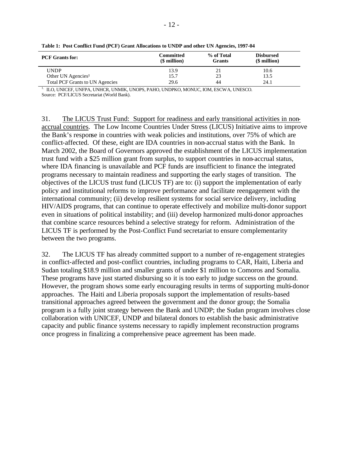| <b>PCF</b> Grants for:                 | Committed<br>$$$ million) | % of Total<br><b>Grants</b> | <b>Disbursed</b><br>(\$ million) |
|----------------------------------------|---------------------------|-----------------------------|----------------------------------|
| <b>UNDP</b>                            | 13.9                      | 21                          | 10.6                             |
| Other UN Agencies <sup>1</sup>         | 15.7                      | 23                          | 13.5                             |
| <b>Total PCF Grants to UN Agencies</b> | 29.6                      | 44                          | 24.1                             |

**Table 1: Post Conflict Fund (PCF) Grant Allocations to UNDP and other UN Agencies, 1997-04**

 $^{\rm 1.}$  ILO, UNICEF, UNFPA, UNHCR, UNMIK, UNOPS, PAHO, UNDPKO, MONUC, IOM, ESCWA, UNESCO.

Source: PCF/LICUS Secretariat (World Bank).

31. The LICUS Trust Fund: Support for readiness and early transitional activities in nonaccrual countries. The Low Income Countries Under Stress (LICUS) Initiative aims to improve the Bank's response in countries with weak policies and institutions, over 75% of which are conflict-affected. Of these, eight are IDA countries in non-accrual status with the Bank. In March 2002, the Board of Governors approved the establishment of the LICUS implementation trust fund with a \$25 million grant from surplus, to support countries in non-accrual status, where IDA financing is unavailable and PCF funds are insufficient to finance the integrated programs necessary to maintain readiness and supporting the early stages of transition. The objectives of the LICUS trust fund (LICUS TF) are to: (i) support the implementation of early policy and institutional reforms to improve performance and facilitate reengagement with the international community; (ii) develop resilient systems for social service delivery, including HIV/AIDS programs, that can continue to operate effectively and mobilize multi-donor support even in situations of political instability; and (iii) develop harmonized multi-donor approaches that combine scarce resources behind a selective strategy for reform. Administration of the LICUS TF is performed by the Post-Conflict Fund secretariat to ensure complementarity between the two programs.

32. The LICUS TF has already committed support to a number of re-engagement strategies in conflict-affected and post-conflict countries, including programs to CAR, Haiti, Liberia and Sudan totaling \$18.9 million and smaller grants of under \$1 million to Comoros and Somalia. These programs have just started disbursing so it is too early to judge success on the ground. However, the program shows some early encouraging results in terms of supporting multi-donor approaches. The Haiti and Liberia proposals support the implementation of results-based transitional approaches agreed between the government and the donor group; the Somalia program is a fully joint strategy between the Bank and UNDP; the Sudan program involves close collaboration with UNICEF, UNDP and bilateral donors to establish the basic administrative capacity and public finance systems necessary to rapidly implement reconstruction programs once progress in finalizing a comprehensive peace agreement has been made.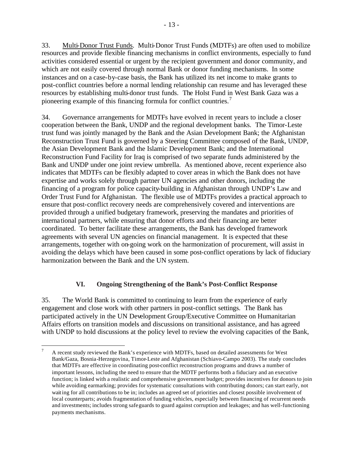33. Multi-Donor Trust Funds. Multi-Donor Trust Funds (MDTFs) are often used to mobilize resources and provide flexible financing mechanisms in conflict environments, especially to fund activities considered essential or urgent by the recipient government and donor community, and which are not easily covered through normal Bank or donor funding mechanisms. In some instances and on a case-by-case basis, the Bank has utilized its net income to make grants to post-conflict countries before a normal lending relationship can resume and has leveraged these resources by establishing multi-donor trust funds. The Holst Fund in West Bank Gaza was a pioneering example of this financing formula for conflict countries.<sup>7</sup>

34. Governance arrangements for MDTFs have evolved in recent years to include a closer cooperation between the Bank, UNDP and the regional development banks. The Timor-Leste trust fund was jointly managed by the Bank and the Asian Development Bank; the Afghanistan Reconstruction Trust Fund is governed by a Steering Committee composed of the Bank, UNDP, the Asian Development Bank and the Islamic Development Bank; and the International Reconstruction Fund Facility for Iraq is comprised of two separate funds administered by the Bank and UNDP under one joint review umbrella. As mentioned above, recent experience also indicates that MDTFs can be flexibly adapted to cover areas in which the Bank does not have expertise and works solely through partner UN agencies and other donors, including the financing of a program for police capacity-building in Afghanistan through UNDP's Law and Order Trust Fund for Afghanistan. The flexible use of MDTFs provides a practical approach to ensure that post-conflict recovery needs are comprehensively covered and interventions are provided through a unified budgetary framework, preserving the mandates and priorities of international partners, while ensuring that donor efforts and their financing are better coordinated. To better facilitate these arrangements, the Bank has developed framework agreements with several UN agencies on financial management. It is expected that these arrangements, together with on-going work on the harmonization of procurement, will assist in avoiding the delays which have been caused in some post-conflict operations by lack of fiduciary harmonization between the Bank and the UN system.

## **VI. Ongoing Strengthening of the Bank's Post-Conflict Response**

35. The World Bank is committed to continuing to learn from the experience of early engagement and close work with other partners in post-conflict settings. The Bank has participated actively in the UN Development Group/Executive Committee on Humanitarian Affairs efforts on transition models and discussions on transitional assistance, and has agreed with UNDP to hold discussions at the policy level to review the evolving capacities of the Bank,

 $\overline{a}$ 

<sup>7</sup> A recent study reviewed the Bank's experience with MDTFs, based on detailed assessments for West Bank/Gaza, Bosnia-Herzegovina, Timor-Leste and Afghanistan (Schiavo-Campo 2003). The study concludes that MDTFs are effective in coordinating post-conflict reconstruction programs and draws a number of important lessons, including the need to ensure that the MDTF performs both a fiduciary and an executive function; is linked with a realistic and comprehensive government budget; provides incentives for donors to join while avoiding earmarking; provides for systematic consultations with contributing donors; can start early, not waiting for all contributions to be in; includes an agreed set of priorities and closest possible involvement of local counterparts; avoids fragmentation of funding vehicles, especially between financing of recurrent needs and investments; includes strong safeguards to guard against corruption and leakages; and has well-functioning payments mechanisms.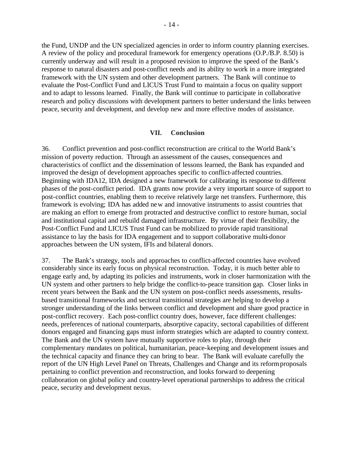the Fund, UNDP and the UN specialized agencies in order to inform country planning exercises. A review of the policy and procedural framework for emergency operations (O.P./B.P. 8.50) is currently underway and will result in a proposed revision to improve the speed of the Bank's response to natural disasters and post-conflict needs and its ability to work in a more integrated framework with the UN system and other development partners. The Bank will continue to evaluate the Post-Conflict Fund and LICUS Trust Fund to maintain a focus on quality support and to adapt to lessons learned. Finally, the Bank will continue to participate in collaborative research and policy discussions with development partners to better understand the links between peace, security and development, and develop new and more effective modes of assistance.

#### **VII. Conclusion**

36. Conflict prevention and post-conflict reconstruction are critical to the World Bank's mission of poverty reduction. Through an assessment of the causes, consequences and characteristics of conflict and the dissemination of lessons learned, the Bank has expanded and improved the design of development approaches specific to conflict-affected countries. Beginning with IDA12, IDA designed a new framework for calibrating its response to different phases of the post-conflict period. IDA grants now provide a very important source of support to post-conflict countries, enabling them to receive relatively large net transfers. Furthermore, this framework is evolving; IDA has added new and innovative instruments to assist countries that are making an effort to emerge from protracted and destructive conflict to restore human, social and institutional capital and rebuild damaged infrastructure. By virtue of their flexibility, the Post-Conflict Fund and LICUS Trust Fund can be mobilized to provide rapid transitional assistance to lay the basis for IDA engagement and to support collaborative multi-donor approaches between the UN system, IFIs and bilateral donors.

37. The Bank's strategy, tools and approaches to conflict-affected countries have evolved considerably since its early focus on physical reconstruction. Today, it is much better able to engage early and, by adapting its policies and instruments, work in closer harmonization with the UN system and other partners to help bridge the conflict-to-peace transition gap. Closer links in recent years between the Bank and the UN system on post-conflict needs assessments, resultsbased transitional frameworks and sectoral transitional strategies are helping to develop a stronger understanding of the links between conflict and development and share good practice in post-conflict recovery. Each post-conflict country does, however, face different challenges: needs, preferences of national counterparts, absorptive capacity, sectoral capabilities of different donors engaged and financing gaps must inform strategies which are adapted to country context. The Bank and the UN system have mutually supportive roles to play, through their complementary mandates on political, humanitarian, peace-keeping and development issues and the technical capacity and finance they can bring to bear. The Bank will evaluate carefully the report of the UN High Level Panel on Threats, Challenges and Change and its reform proposals pertaining to conflict prevention and reconstruction, and looks forward to deepening collaboration on global policy and country-level operational partnerships to address the critical peace, security and development nexus.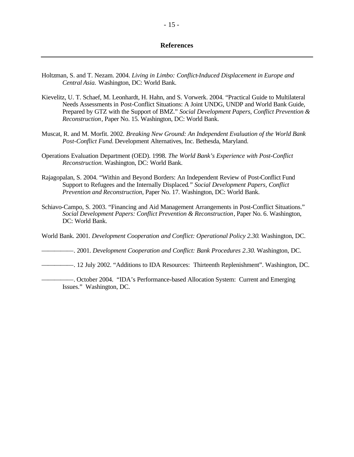#### **References**

- Holtzman, S. and T. Nezam. 2004. *Living in Limbo: Conflict-Induced Displacement in Europe and Central Asia.* Washington, DC: World Bank.
- Kievelitz, U. T. Schaef, M. Leonhardt, H. Hahn, and S. Vorwerk. 2004. "Practical Guide to Multilateral Needs Assessments in Post-Conflict Situations: A Joint UNDG, UNDP and World Bank Guide, Prepared by GTZ with the Support of BMZ." *Social Development Papers, Conflict Prevention & Reconstruction*, Paper No. 15. Washington, DC: World Bank.
- Muscat, R. and M. Morfit. 2002. *Breaking New Ground: An Independent Evaluation of the World Bank Post-Conflict Fund.* Development Alternatives, Inc. Bethesda, Maryland.
- Operations Evaluation Department (OED). 1998. *The World Bank's Experience with Post-Conflict Reconstruction.* Washington, DC: World Bank.
- Rajagopalan, S. 2004. "Within and Beyond Borders: An Independent Review of Post-Conflict Fund Support to Refugees and the Internally Displaced*." Social Development Papers, Conflict Prevention and Reconstruction*, Paper No. 17. Washington, DC: World Bank.
- Schiavo-Campo, S. 2003. "Financing and Aid Management Arrangements in Post-Conflict Situations." *Social Development Papers: Conflict Prevention & Reconstruction*, Paper No. 6. Washington, DC: World Bank.

World Bank. 2001. *Development Cooperation and Conflict: Operational Policy 2.30*. Washington, DC.

—————. 2001. *Development Cooperation and Conflict: Bank Procedures 2.30*. Washington, DC.

- —————. 12 July 2002. "Additions to IDA Resources: Thirteenth Replenishment". Washington, DC.
- —————. October 2004. "IDA's Performance-based Allocation System: Current and Emerging Issues." Washington, DC.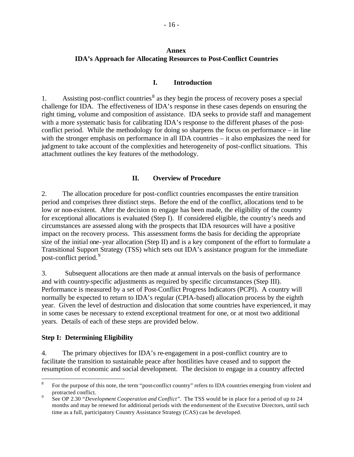## **Annex IDA's Approach for Allocating Resources to Post-Conflict Countries**

## **I. Introduction**

1. Assisting post-conflict countries<sup>8</sup> as they begin the process of recovery poses a special challenge for IDA. The effectiveness of IDA's response in these cases depends on ensuring the right timing, volume and composition of assistance. IDA seeks to provide staff and management with a more systematic basis for calibrating IDA's response to the different phases of the postconflict period. While the methodology for doing so sharpens the focus on performance – in line with the stronger emphasis on performance in all IDA countries – it also emphasizes the need for judgment to take account of the complexities and heterogeneity of post-conflict situations. This attachment outlines the key features of the methodology.

## **II. Overview of Procedure**

2. The allocation procedure for post-conflict countries encompasses the entire transition period and comprises three distinct steps. Before the end of the conflict, allocations tend to be low or non-existent. After the decision to engage has been made, the eligibility of the country for exceptional allocations is evaluated (Step I). If considered eligible, the country's needs and circumstances are assessed along with the prospects that IDA resources will have a positive impact on the recovery process. This assessment forms the basis for deciding the appropriate size of the initial one-year allocation (Step II) and is a key component of the effort to formulate a Transitional Support Strategy (TSS) which sets out IDA's assistance program for the immediate post-conflict period.<sup>9</sup>

3. Subsequent allocations are then made at annual intervals on the basis of performance and with country-specific adjustments as required by specific circumstances (Step III). Performance is measured by a set of Post-Conflict Progress Indicators (PCPI). A country will normally be expected to return to IDA's regular (CPIA-based) allocation process by the eighth year. Given the level of destruction and dislocation that some countries have experienced, it may in some cases be necessary to extend exceptional treatment for one, or at most two additional years. Details of each of these steps are provided below.

### **Step I: Determining Eligibility**

 $\overline{a}$ 

4. The primary objectives for IDA's re-engagement in a post-conflict country are to facilitate the transition to sustainable peace after hostilities have ceased and to support the resumption of economic and social development. The decision to engage in a country affected

<sup>8</sup> For the purpose of this note, the term "post-conflict country" refers to IDA countries emerging from violent and protracted conflict.

<sup>9</sup> See OP 2.30 *"Development Cooperation and Conflict".* The TSS would be in place for a period of up to 24 months and may be renewed for additional periods with the endorsement of the Executive Directors, until such time as a full, participatory Country Assistance Strategy (CAS) can be developed.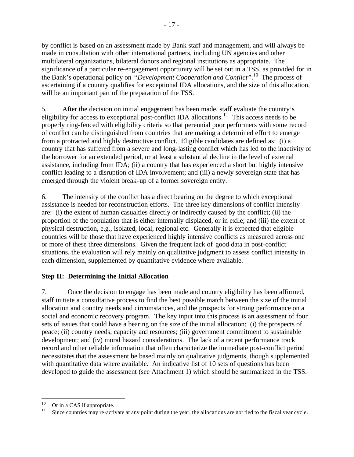by conflict is based on an assessment made by Bank staff and management, and will always be made in consultation with other international partners, including UN agencies and other multilateral organizations, bilateral donors and regional institutions as appropriate. The significance of a particular re-engagement opportunity will be set out in a TSS, as provided for in the Bank's operational policy on *"Development Cooperation and Conflict"*. <sup>10</sup> The process of ascertaining if a country qualifies for exceptional IDA allocations, and the size of this allocation, will be an important part of the preparation of the TSS.

5. After the decision on initial engagement has been made, staff evaluate the country's eligibility for access to exceptional post-conflict IDA allocations.<sup>11</sup> This access needs to be properly ring-fenced with eligibility criteria so that perennial poor performers with some record of conflict can be distinguished from countries that are making a determined effort to emerge from a protracted and highly destructive conflict. Eligible candidates are defined as: (i) a country that has suffered from a severe and long-lasting conflict which has led to the inactivity of the borrower for an extended period, or at least a substantial decline in the level of external assistance, including from IDA; (ii) a country that has experienced a short but highly intensive conflict leading to a disruption of IDA involvement; and (iii) a newly sovereign state that has emerged through the violent break-up of a former sovereign entity.

6. The intensity of the conflict has a direct bearing on the degree to which exceptional assistance is needed for reconstruction efforts. The three key dimensions of conflict intensity are: (i) the extent of human casualties directly or indirectly caused by the conflict; (ii) the proportion of the population that is either internally displaced, or in exile; and (iii) the extent of physical destruction, e.g., isolated, local, regional etc. Generally it is expected that eligible countries will be those that have experienced highly intensive conflicts as measured across one or more of these three dimensions. Given the frequent lack of good data in post-conflict situations, the evaluation will rely mainly on qualitative judgment to assess conflict intensity in each dimension, supplemented by quantitative evidence where available.

## **Step II: Determining the Initial Allocation**

7. Once the decision to engage has been made and country eligibility has been affirmed, staff initiate a consultative process to find the best possible match between the size of the initial allocation and country needs and circumstances, and the prospects for strong performance on a social and economic recovery program. The key input into this process is an assessment of four sets of issues that could have a bearing on the size of the initial allocation: (i) the prospects of peace; (ii) country needs, capacity and resources; (iii) government commitment to sustainable development; and (iv) moral hazard considerations. The lack of a recent performance track record and other reliable information that often characterize the immediate post-conflict period necessitates that the assessment be based mainly on qualitative judgments, though supplemented with quantitative data where available. An indicative list of 10 sets of questions has been developed to guide the assessment (see Attachment 1) which should be summarized in the TSS.

<sup>10</sup>  $^{10}$  Or in a CAS if appropriate.

Since countries may re-activate at any point during the year, the allocations are not tied to the fiscal year cycle.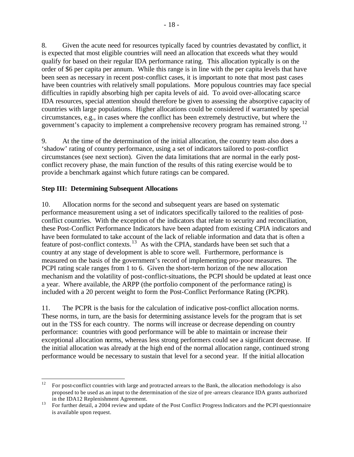8. Given the acute need for resources typically faced by countries devastated by conflict, it is expected that most eligible countries will need an allocation that exceeds what they would qualify for based on their regular IDA performance rating. This allocation typically is on the order of \$6 per capita per annum. While this range is in line with the per capita levels that have been seen as necessary in recent post-conflict cases, it is important to note that most past cases have been countries with relatively small populations. More populous countries may face special difficulties in rapidly absorbing high per capita levels of aid. To avoid over-allocating scarce IDA resources, special attention should therefore be given to assessing the absorptive capacity of countries with large populations. Higher allocations could be considered if warranted by special circumstances, e.g., in cases where the conflict has been extremely destructive, but where the government's capacity to implement a comprehensive recovery program has remained strong.<sup>12</sup>

9. At the time of the determination of the initial allocation, the country team also does a 'shadow' rating of country performance, using a set of indicators tailored to post-conflict circumstances (see next section). Given the data limitations that are normal in the early postconflict recovery phase, the main function of the results of this rating exercise would be to provide a benchmark against which future ratings can be compared.

## **Step III: Determining Subsequent Allocations**

10. Allocation norms for the second and subsequent years are based on systematic performance measurement using a set of indicators specifically tailored to the realities of postconflict countries. With the exception of the indicators that relate to security and reconciliation, these Post-Conflict Performance Indicators have been adapted from existing CPIA indicators and have been formulated to take account of the lack of reliable information and data that is often a feature of post-conflict contexts.<sup>13</sup> As with the CPIA, standards have been set such that a country at any stage of development is able to score well. Furthermore, performance is measured on the basis of the government's record of implementing pro-poor measures. The PCPI rating scale ranges from 1 to 6. Given the short-term horizon of the new allocation mechanism and the volatility of post-conflict-situations, the PCPI should be updated at least once a year. Where available, the ARPP (the portfolio component of the performance rating) is included with a 20 percent weight to form the Post-Conflict Performance Rating (PCPR).

11. The PCPR is the basis for the calculation of indicative post-conflict allocation norms. These norms, in turn, are the basis for determining assistance levels for the program that is set out in the TSS for each country. The norms will increase or decrease depending on country performance: countries with good performance will be able to maintain or increase their exceptional allocation norms, whereas less strong performers could see a significant decrease. If the initial allocation was already at the high end of the normal allocation range, continued strong performance would be necessary to sustain that level for a second year. If the initial allocation

<sup>12</sup> <sup>12</sup> For post-conflict countries with large and protracted arrears to the Bank, the allocation methodology is also proposed to be used as an input to the determination of the size of pre -arrears clearance IDA grants authorized in the IDA12 Replenishment Agreement.

<sup>&</sup>lt;sup>13</sup> For further detail, a 2004 review and update of the Post Conflict Progress Indicators and the PCPI questionnaire is available upon request.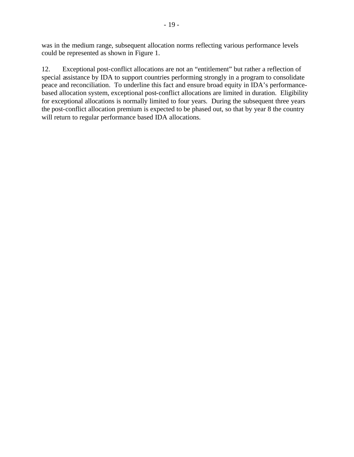was in the medium range, subsequent allocation norms reflecting various performance levels could be represented as shown in Figure 1.

12. Exceptional post-conflict allocations are not an "entitlement" but rather a reflection of special assistance by IDA to support countries performing strongly in a program to consolidate peace and reconciliation. To underline this fact and ensure broad equity in IDA's performancebased allocation system, exceptional post-conflict allocations are limited in duration. Eligibility for exceptional allocations is normally limited to four years. During the subsequent three years the post-conflict allocation premium is expected to be phased out, so that by year 8 the country will return to regular performance based IDA allocations.